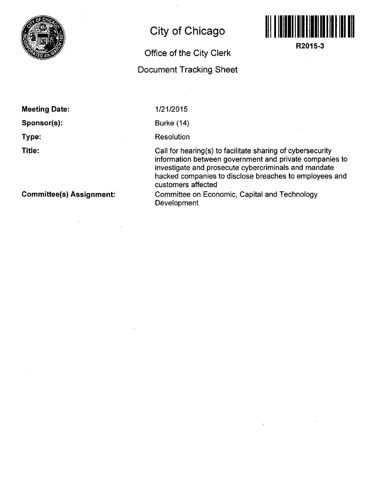

## **City of Chicago**

## **Office of the City Clerk**

## **Document Tracking Sheet**



**R2015-3** 

**Meeting Date:** 

**Sponsor(s):** 

**Type:** 

**Title:** 

1/21/2015

Burke (14)

**Resolution** 

Call for hearing(s) to facilitate sharing of cybersecurity information between government and private companies to investigate and prosecute cybercriminals and mandate hacked companies to disclose breaches to employees and customers affected

**Committee(s) Assignment:** 

Committee on Economic, Capital and Technology **Development**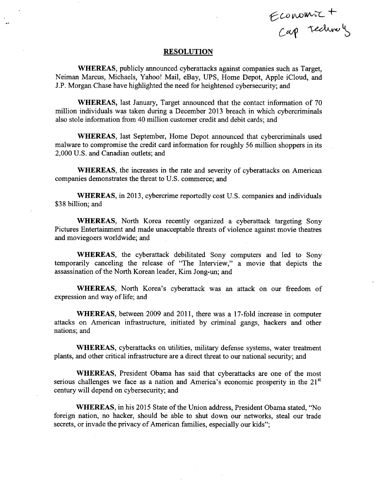Economic +<br>Cap Technols

## **RESOLUTION**

 $\mathcal{A}$ 

WHEREAS, publicly announced cyberattacks against companies such as Target, Neiman Marcus, Michaels, Yahoo! Mail, eBay, UPS, Home Depot, Apple iCloud, and J.P. Morgan Chase have highlighted the need for heightened cybersecurity; and

WHEREAS, last January, Target announced that the contact information of 70 million individuals was taken during a December 2013 breach in which cybercriminals also stole information from 40 million customer credit and debit cards; and

WHEREAS, last September, Home Depot announced that cybercriminals used malware to compromise the credit card information for roughly 56 million shoppers in its 2,000 U.S. and Canadian outlets; and

WHEREAS, the increases in the rate and severity of cyberattacks on American companies demonstrates the threat to U.S. commerce; and

WHEREAS, in 2013, cybercrime reportedly cost U.S. companies and individuals \$38 billion; and

WHEREAS, North Korea recently organized a cyberattack targeting Sony Pictures Entertainment and made unacceptable threats of violence against movie theatres and moviegoers worldwide; and

WHEREAS, the cyberattack debilitated Sony computers and led to Sony temporarily canceling the release of "The Interview," a movie that depicts the assassination of the North Korean leader, Kim Jong-un; and

WHEREAS, North Korea's cyberattack was an attack on our freedom of expression and way of life; and

WHEREAS, between 2009 and 2011, there was a 17-fold increase in computer attacks on American infrastructure, initiated by criminal gangs, hackers and other nations; and

WHEREAS, cyberattacks on utilities, military defense systems, water treatment plants, and other critical infrastructure are a direct threat to our national security; and

WHEREAS, President Obama has said that cyberattacks are one of the most serious challenges we face as a nation and America's economic prosperity in the  $21<sup>st</sup>$ century will depend on cybersecurity; and

WHEREAS, in his 2015 State of the Union address, President Obama stated, "No foreign nation, no hacker, should be able to shut down our networks, steal our trade secrets, or invade the privacy of American families, especially our kids";